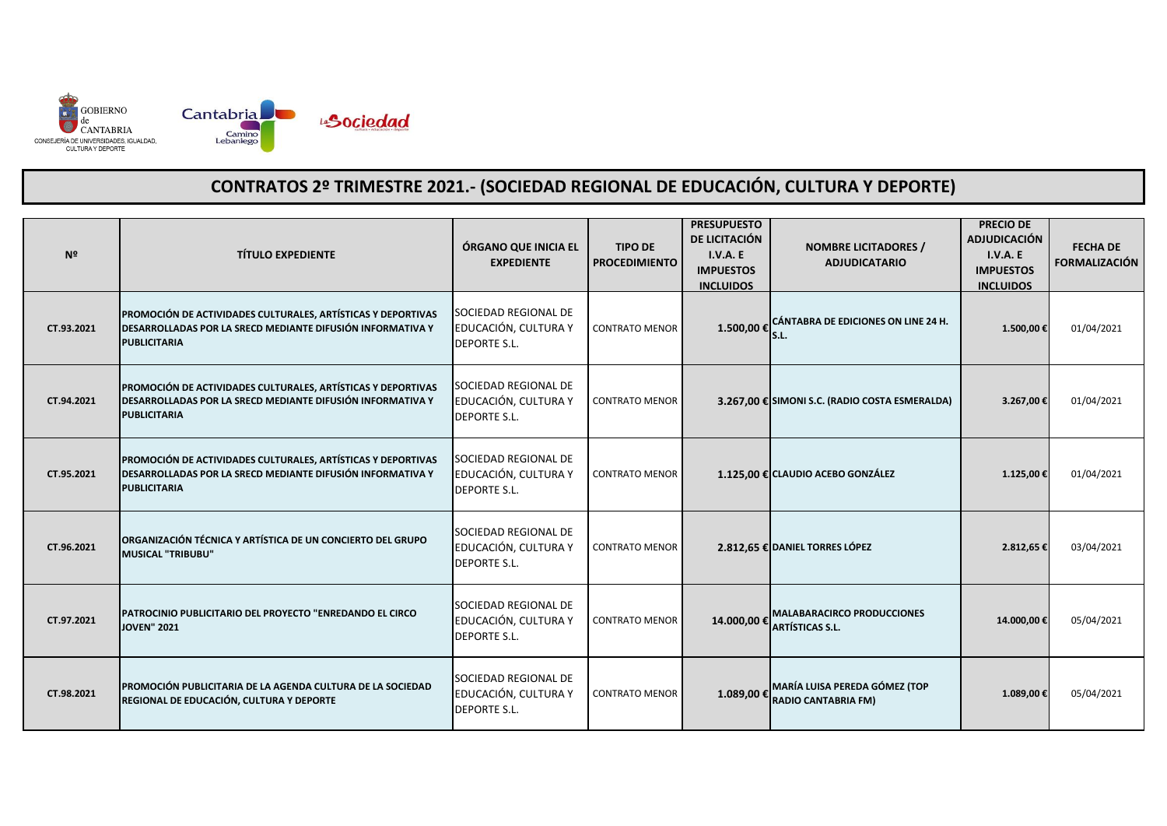

| Nº         | <b>TÍTULO EXPEDIENTE</b>                                                                                                                                 | ÓRGANO QUE INICIA EL<br><b>EXPEDIENTE</b>                           | <b>TIPO DE</b><br><b>PROCEDIMIENTO</b> | <b>PRESUPUESTO</b><br>DE LICITACIÓN<br>I.V.A.E<br><b>IMPUESTOS</b><br><b>INCLUIDOS</b> | <b>NOMBRE LICITADORES /</b><br><b>ADJUDICATARIO</b>                       | <b>PRECIO DE</b><br><b>ADJUDICACIÓN</b><br><b>I.V.A. E</b><br><b>IMPUESTOS</b><br><b>INCLUIDOS</b> | <b>FECHA DE</b><br><b>FORMALIZACIÓN</b> |
|------------|----------------------------------------------------------------------------------------------------------------------------------------------------------|---------------------------------------------------------------------|----------------------------------------|----------------------------------------------------------------------------------------|---------------------------------------------------------------------------|----------------------------------------------------------------------------------------------------|-----------------------------------------|
| CT.93.2021 | PROMOCIÓN DE ACTIVIDADES CULTURALES, ARTÍSTICAS Y DEPORTIVAS<br><b>DESARROLLADAS POR LA SRECD MEDIANTE DIFUSIÓN INFORMATIVA Y</b><br><b>PUBLICITARIA</b> | SOCIEDAD REGIONAL DE<br>EDUCACIÓN, CULTURA Y<br><b>DEPORTE S.L.</b> | <b>CONTRATO MENOR</b>                  | 1.500,00 € S.L.                                                                        | CÁNTABRA DE EDICIONES ON LINE 24 H.                                       | 1.500,00 €                                                                                         | 01/04/2021                              |
| CT.94.2021 | PROMOCIÓN DE ACTIVIDADES CULTURALES, ARTÍSTICAS Y DEPORTIVAS<br><b>DESARROLLADAS POR LA SRECD MEDIANTE DIFUSIÓN INFORMATIVA Y</b><br><b>PUBLICITARIA</b> | SOCIEDAD REGIONAL DE<br>EDUCACIÓN, CULTURA Y<br><b>DEPORTE S.L.</b> | <b>CONTRATO MENOR</b>                  |                                                                                        | 3.267,00 € SIMONI S.C. (RADIO COSTA ESMERALDA)                            | 3.267,00€                                                                                          | 01/04/2021                              |
| CT.95.2021 | PROMOCIÓN DE ACTIVIDADES CULTURALES, ARTÍSTICAS Y DEPORTIVAS<br><b>DESARROLLADAS POR LA SRECD MEDIANTE DIFUSIÓN INFORMATIVA Y</b><br><b>PUBLICITARIA</b> | SOCIEDAD REGIONAL DE<br>EDUCACIÓN, CULTURA Y<br><b>DEPORTE S.L.</b> | <b>CONTRATO MENOR</b>                  |                                                                                        | 1.125,00 € CLAUDIO ACEBO GONZÁLEZ                                         | 1.125,00€                                                                                          | 01/04/2021                              |
| CT.96.2021 | <b>ORGANIZACIÓN TÉCNICA Y ARTÍSTICA DE UN CONCIERTO DEL GRUPO</b><br><b>MUSICAL "TRIBUBU"</b>                                                            | SOCIEDAD REGIONAL DE<br>EDUCACIÓN, CULTURA Y<br><b>DEPORTE S.L.</b> | <b>CONTRATO MENOR</b>                  |                                                                                        | 2.812,65 € DANIEL TORRES LÓPEZ                                            | 2.812,65€                                                                                          | 03/04/2021                              |
| CT.97.2021 | PATROCINIO PUBLICITARIO DEL PROYECTO "ENREDANDO EL CIRCO<br><b>JOVEN" 2021</b>                                                                           | SOCIEDAD REGIONAL DE<br>EDUCACIÓN, CULTURA Y<br><b>DEPORTE S.L.</b> | <b>CONTRATO MENOR</b>                  |                                                                                        | <b>MALABARACIRCO PRODUCCIONES</b><br>14.000,00 $\epsilon$ ARTÍSTICAS S.L. | 14.000,00€                                                                                         | 05/04/2021                              |
| CT.98.2021 | PROMOCIÓN PUBLICITARIA DE LA AGENDA CULTURA DE LA SOCIEDAD<br>REGIONAL DE EDUCACIÓN, CULTURA Y DEPORTE                                                   | SOCIEDAD REGIONAL DE<br>EDUCACIÓN, CULTURA Y<br><b>DEPORTE S.L.</b> | <b>CONTRATO MENOR</b>                  | 1.089,00 €                                                                             | MARÍA LUISA PEREDA GÓMEZ (TOP<br><b>RADIO CANTABRIA FM)</b>               | 1.089,00 €                                                                                         | 05/04/2021                              |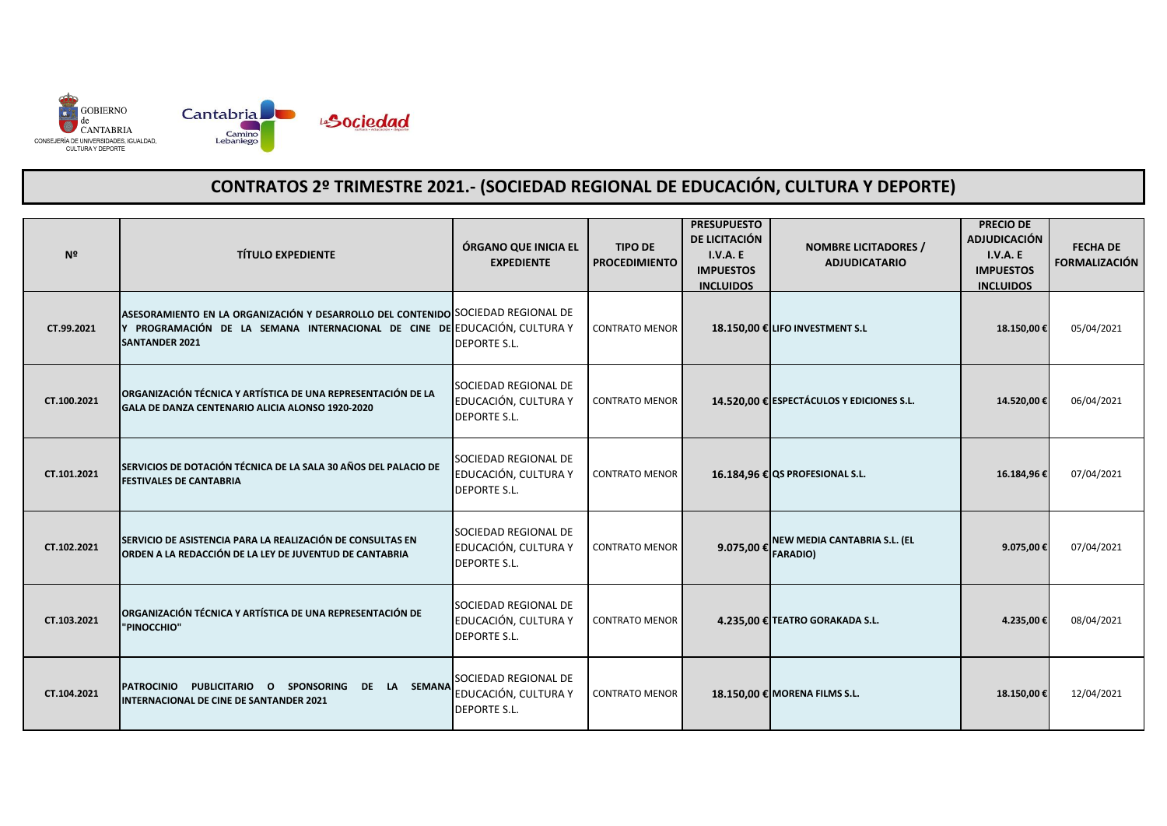

| Nº          | <b>TÍTULO EXPEDIENTE</b>                                                                                                                                                             | ÓRGANO QUE INICIA EL<br><b>EXPEDIENTE</b>                                  | <b>TIPO DE</b><br><b>PROCEDIMIENTO</b> | <b>PRESUPUESTO</b><br>DE LICITACIÓN<br>I.V.A.E<br><b>IMPUESTOS</b><br><b>INCLUIDOS</b> | <b>NOMBRE LICITADORES /</b><br><b>ADJUDICATARIO</b> | <b>PRECIO DE</b><br><b>ADJUDICACIÓN</b><br><b>I.V.A. E</b><br><b>IMPUESTOS</b><br><b>INCLUIDOS</b> | <b>FECHA DE</b><br><b>FORMALIZACIÓN</b> |
|-------------|--------------------------------------------------------------------------------------------------------------------------------------------------------------------------------------|----------------------------------------------------------------------------|----------------------------------------|----------------------------------------------------------------------------------------|-----------------------------------------------------|----------------------------------------------------------------------------------------------------|-----------------------------------------|
| CT.99.2021  | ASESORAMIENTO EN LA ORGANIZACIÓN Y DESARROLLO DEL CONTENIDO SOCIEDAD REGIONAL DE<br>PROGRAMACIÓN DE LA SEMANA INTERNACIONAL DE CINE DE EDUCACIÓN, CULTURA Y<br><b>SANTANDER 2021</b> | <b>DEPORTE S.L.</b>                                                        | <b>CONTRATO MENOR</b>                  |                                                                                        | 18.150,00 € LIFO INVESTMENT S.L                     | 18.150,00€                                                                                         | 05/04/2021                              |
| CT.100.2021 | ORGANIZACIÓN TÉCNICA Y ARTÍSTICA DE UNA REPRESENTACIÓN DE LA<br>GALA DE DANZA CENTENARIO ALICIA ALONSO 1920-2020                                                                     | SOCIEDAD REGIONAL DE<br>EDUCACIÓN, CULTURA Y<br><b>DEPORTE S.L.</b>        | <b>CONTRATO MENOR</b>                  |                                                                                        | 14.520,00 € ESPECTÁCULOS Y EDICIONES S.L.           | 14.520,00€                                                                                         | 06/04/2021                              |
| CT.101.2021 | SERVICIOS DE DOTACIÓN TÉCNICA DE LA SALA 30 AÑOS DEL PALACIO DE<br><b>FESTIVALES DE CANTABRIA</b>                                                                                    | SOCIEDAD REGIONAL DE<br>EDUCACIÓN, CULTURA Y<br><b>DEPORTE S.L.</b>        | <b>CONTRATO MENOR</b>                  |                                                                                        | 16.184,96 € QS PROFESIONAL S.L.                     | 16.184,96€                                                                                         | 07/04/2021                              |
| CT.102.2021 | SERVICIO DE ASISTENCIA PARA LA REALIZACIÓN DE CONSULTAS EN<br>ORDEN A LA REDACCIÓN DE LA LEY DE JUVENTUD DE CANTABRIA                                                                | SOCIEDAD REGIONAL DE<br>EDUCACIÓN, CULTURA Y<br><b>DEPORTE S.L.</b>        | <b>CONTRATO MENOR</b>                  | 9.075,00 € $\left  \begin{array}{cc} FARADIO \end{array} \right $                      | NEW MEDIA CANTABRIA S.L. (EL                        | 9.075,00€                                                                                          | 07/04/2021                              |
| CT.103.2021 | ORGANIZACIÓN TÉCNICA Y ARTÍSTICA DE UNA REPRESENTACIÓN DE<br>"PINOCCHIO"                                                                                                             | <b>SOCIEDAD REGIONAL DE</b><br>EDUCACIÓN, CULTURA Y<br><b>DEPORTE S.L.</b> | <b>CONTRATO MENOR</b>                  |                                                                                        | 4.235,00 € TEATRO GORAKADA S.L.                     | 4.235,00€                                                                                          | 08/04/2021                              |
| CT.104.2021 | <b>PATROCINIO</b><br>PUBLICITARIO O SPONSORING DE LA SEMANA<br>INTERNACIONAL DE CINE DE SANTANDER 2021                                                                               | SOCIEDAD REGIONAL DE<br>EDUCACIÓN, CULTURA Y<br><b>DEPORTE S.L.</b>        | <b>CONTRATO MENOR</b>                  |                                                                                        | 18.150,00 € MORENA FILMS S.L.                       | 18.150,00€                                                                                         | 12/04/2021                              |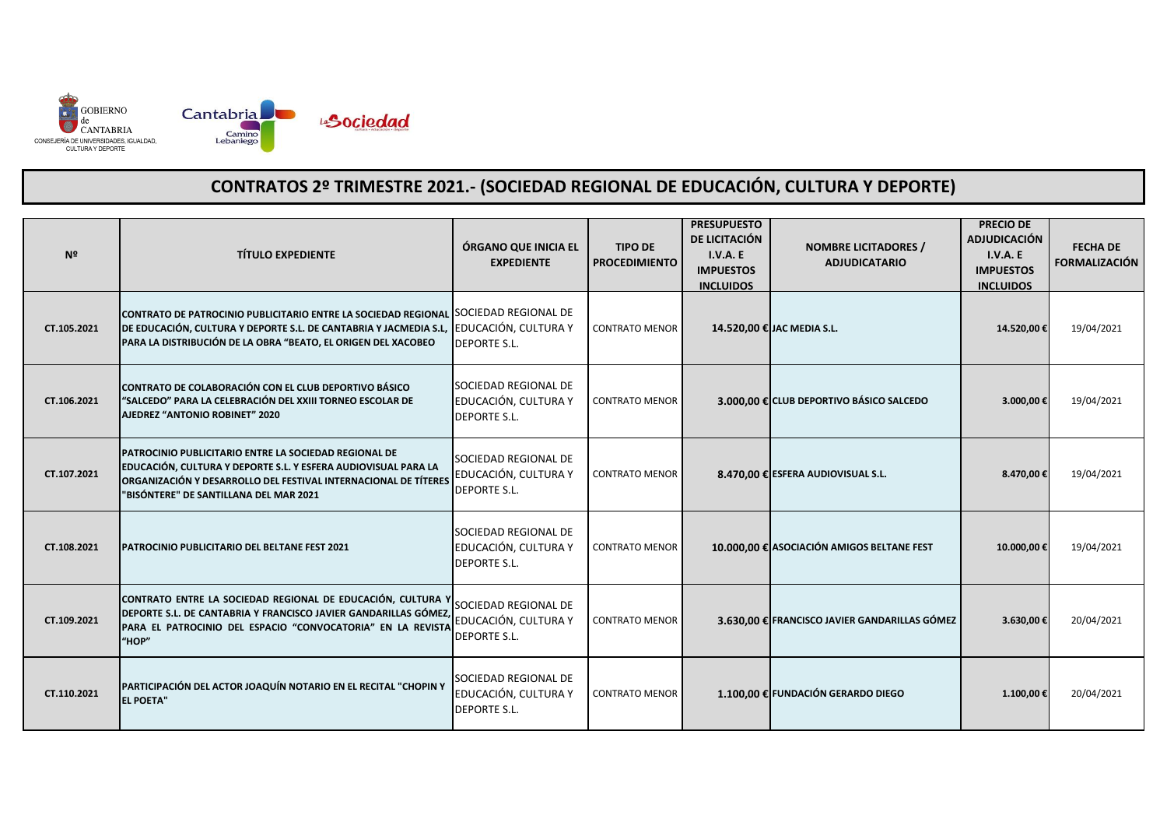

| Nº          | <b>TÍTULO EXPEDIENTE</b>                                                                                                                                                                                                                       | ÓRGANO QUE INICIA EL<br><b>EXPEDIENTE</b>                           | <b>TIPO DE</b><br><b>PROCEDIMIENTO</b> | <b>PRESUPUESTO</b><br>DE LICITACIÓN<br>I.V.A.E<br><b>IMPUESTOS</b><br><b>INCLUIDOS</b> | <b>NOMBRE LICITADORES /</b><br><b>ADJUDICATARIO</b> | <b>PRECIO DE</b><br><b>ADJUDICACIÓN</b><br>I.V.A.E<br><b>IMPUESTOS</b><br><b>INCLUIDOS</b> | <b>FECHA DE</b><br><b>FORMALIZACIÓN</b> |
|-------------|------------------------------------------------------------------------------------------------------------------------------------------------------------------------------------------------------------------------------------------------|---------------------------------------------------------------------|----------------------------------------|----------------------------------------------------------------------------------------|-----------------------------------------------------|--------------------------------------------------------------------------------------------|-----------------------------------------|
| CT.105.2021 | CONTRATO DE PATROCINIO PUBLICITARIO ENTRE LA SOCIEDAD REGIONAL SOCIEDAD REGIONAL DE<br>DE EDUCACIÓN, CULTURA Y DEPORTE S.L. DE CANTABRIA Y JACMEDIA S.L, EDUCACIÓN, CULTURA Y<br>PARA LA DISTRIBUCIÓN DE LA OBRA "BEATO, EL ORIGEN DEL XACOBEO | <b>DEPORTE S.L.</b>                                                 | <b>CONTRATO MENOR</b>                  |                                                                                        | 14.520,00 € JAC MEDIA S.L.                          | 14.520,00 €                                                                                | 19/04/2021                              |
| CT.106.2021 | CONTRATO DE COLABORACIÓN CON EL CLUB DEPORTIVO BÁSICO<br>"SALCEDO" PARA LA CELEBRACIÓN DEL XXIII TORNEO ESCOLAR DE<br>AJEDREZ "ANTONIO ROBINET" 2020                                                                                           | SOCIEDAD REGIONAL DE<br>EDUCACIÓN, CULTURA Y<br><b>DEPORTE S.L.</b> | <b>CONTRATO MENOR</b>                  |                                                                                        | 3.000,00 € CLUB DEPORTIVO BÁSICO SALCEDO            | 3.000,00€                                                                                  | 19/04/2021                              |
| CT.107.2021 | PATROCINIO PUBLICITARIO ENTRE LA SOCIEDAD REGIONAL DE<br>EDUCACIÓN, CULTURA Y DEPORTE S.L. Y ESFERA AUDIOVISUAL PARA LA<br>ORGANIZACIÓN Y DESARROLLO DEL FESTIVAL INTERNACIONAL DE TÍTERES<br>"BISÓNTERE" DE SANTILLANA DEL MAR 2021           | SOCIEDAD REGIONAL DE<br>EDUCACIÓN, CULTURA Y<br><b>DEPORTE S.L.</b> | <b>CONTRATO MENOR</b>                  |                                                                                        | 8.470,00 € ESFERA AUDIOVISUAL S.L.                  | 8.470,00€                                                                                  | 19/04/2021                              |
| CT.108.2021 | PATROCINIO PUBLICITARIO DEL BELTANE FEST 2021                                                                                                                                                                                                  | SOCIEDAD REGIONAL DE<br>EDUCACIÓN, CULTURA Y<br><b>DEPORTE S.L.</b> | <b>CONTRATO MENOR</b>                  |                                                                                        | 10.000,00 € ASOCIACIÓN AMIGOS BELTANE FEST          | 10.000,00 €                                                                                | 19/04/2021                              |
| CT.109.2021 | CONTRATO ENTRE LA SOCIEDAD REGIONAL DE EDUCACIÓN, CULTURA Y<br>DEPORTE S.L. DE CANTABRIA Y FRANCISCO JAVIER GANDARILLAS GÓMEZ,<br>PARA EL PATROCINIO DEL ESPACIO "CONVOCATORIA" EN LA REVISTA<br>"HOP"                                         | SOCIEDAD REGIONAL DE<br>EDUCACIÓN, CULTURA Y<br><b>DEPORTE S.L.</b> | <b>CONTRATO MENOR</b>                  |                                                                                        | 3.630,00 € FRANCISCO JAVIER GANDARILLAS GÓMEZ       | 3.630,00€                                                                                  | 20/04/2021                              |
| CT.110.2021 | PARTICIPACIÓN DEL ACTOR JOAQUÍN NOTARIO EN EL RECITAL "CHOPIN Y<br><b>EL POETA"</b>                                                                                                                                                            | SOCIEDAD REGIONAL DE<br>EDUCACIÓN, CULTURA Y<br><b>DEPORTE S.L.</b> | <b>CONTRATO MENOR</b>                  |                                                                                        | 1.100,00 € FUNDACIÓN GERARDO DIEGO                  | 1.100,00 €                                                                                 | 20/04/2021                              |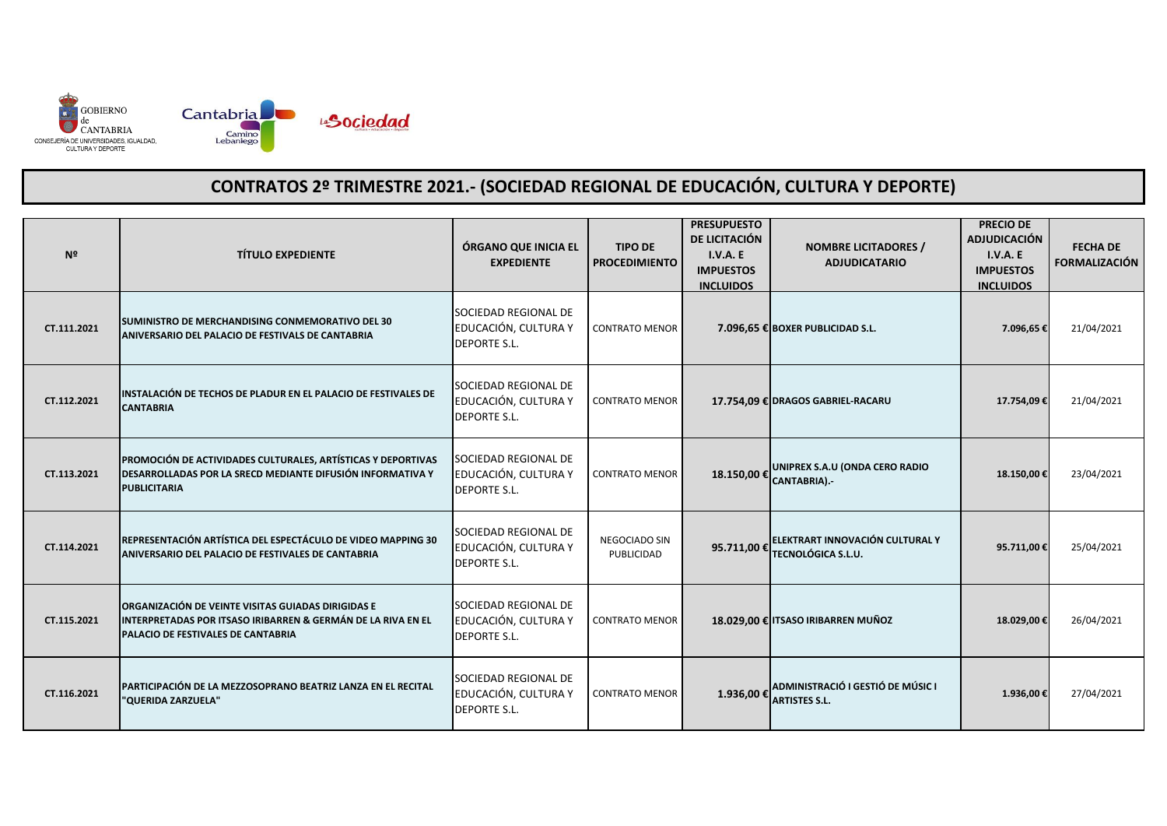

| N <sup>2</sup> | <b>TÍTULO EXPEDIENTE</b>                                                                                                                                 | ÓRGANO QUE INICIA EL<br><b>EXPEDIENTE</b>                           | <b>TIPO DE</b><br><b>PROCEDIMIENTO</b> | <b>PRESUPUESTO</b><br>DE LICITACIÓN<br>I.V.A.E<br><b>IMPUESTOS</b><br><b>INCLUIDOS</b> | <b>NOMBRE LICITADORES /</b><br><b>ADJUDICATARIO</b>          | <b>PRECIO DE</b><br><b>ADJUDICACIÓN</b><br>I.V.A. E<br><b>IMPUESTOS</b><br><b>INCLUIDOS</b> | <b>FECHA DE</b><br><b>FORMALIZACIÓN</b> |
|----------------|----------------------------------------------------------------------------------------------------------------------------------------------------------|---------------------------------------------------------------------|----------------------------------------|----------------------------------------------------------------------------------------|--------------------------------------------------------------|---------------------------------------------------------------------------------------------|-----------------------------------------|
| CT.111.2021    | SUMINISTRO DE MERCHANDISING CONMEMORATIVO DEL 30<br>ANIVERSARIO DEL PALACIO DE FESTIVALS DE CANTABRIA                                                    | SOCIEDAD REGIONAL DE<br>EDUCACIÓN, CULTURA Y<br><b>DEPORTE S.L.</b> | <b>CONTRATO MENOR</b>                  |                                                                                        | 7.096,65 € BOXER PUBLICIDAD S.L.                             | 7.096,65€                                                                                   | 21/04/2021                              |
| CT.112.2021    | INSTALACIÓN DE TECHOS DE PLADUR EN EL PALACIO DE FESTIVALES DE<br><b>CANTABRIA</b>                                                                       | SOCIEDAD REGIONAL DE<br>EDUCACIÓN, CULTURA Y<br><b>DEPORTE S.L.</b> | <b>CONTRATO MENOR</b>                  |                                                                                        | 17.754,09 € DRAGOS GABRIEL-RACARU                            | 17.754,09€                                                                                  | 21/04/2021                              |
| CT.113.2021    | PROMOCIÓN DE ACTIVIDADES CULTURALES, ARTÍSTICAS Y DEPORTIVAS<br>DESARROLLADAS POR LA SRECD MEDIANTE DIFUSIÓN INFORMATIVA Y<br><b>PUBLICITARIA</b>        | SOCIEDAD REGIONAL DE<br>EDUCACIÓN, CULTURA Y<br><b>DEPORTE S.L.</b> | <b>CONTRATO MENOR</b>                  |                                                                                        | 18.150,00 € UNIPREX S.A.U (ONDA CERO RADIO<br>CANTABRIA).-   | 18.150,00 €                                                                                 | 23/04/2021                              |
| CT.114.2021    | REPRESENTACIÓN ARTÍSTICA DEL ESPECTÁCULO DE VIDEO MAPPING 30<br>ANIVERSARIO DEL PALACIO DE FESTIVALES DE CANTABRIA                                       | SOCIEDAD REGIONAL DE<br>EDUCACIÓN, CULTURA Y<br><b>DEPORTE S.L.</b> | NEGOCIADO SIN<br>PUBLICIDAD            | 95.711,00 €                                                                            | ELEKTRART INNOVACIÓN CULTURAL Y<br><b>TECNOLÓGICA S.L.U.</b> | 95.711,00€                                                                                  | 25/04/2021                              |
| CT.115.2021    | ORGANIZACIÓN DE VEINTE VISITAS GUIADAS DIRIGIDAS E<br>INTERPRETADAS POR ITSASO IRIBARREN & GERMÁN DE LA RIVA EN EL<br>PALACIO DE FESTIVALES DE CANTABRIA | SOCIEDAD REGIONAL DE<br>EDUCACIÓN, CULTURA Y<br><b>DEPORTE S.L.</b> | <b>CONTRATO MENOR</b>                  |                                                                                        | 18.029,00 € ITSASO IRIBARREN MUÑOZ                           | 18.029,00€                                                                                  | 26/04/2021                              |
| CT.116.2021    | PARTICIPACIÓN DE LA MEZZOSOPRANO BEATRIZ LANZA EN EL RECITAL<br>"QUERIDA ZARZUELA"                                                                       | SOCIEDAD REGIONAL DE<br>EDUCACIÓN, CULTURA Y<br><b>DEPORTE S.L.</b> | <b>CONTRATO MENOR</b>                  | 1.936,00€                                                                              | ADMINISTRACIÓ I GESTIÓ DE MÚSIC I<br><b>ARTISTES S.L.</b>    | 1.936,00 €                                                                                  | 27/04/2021                              |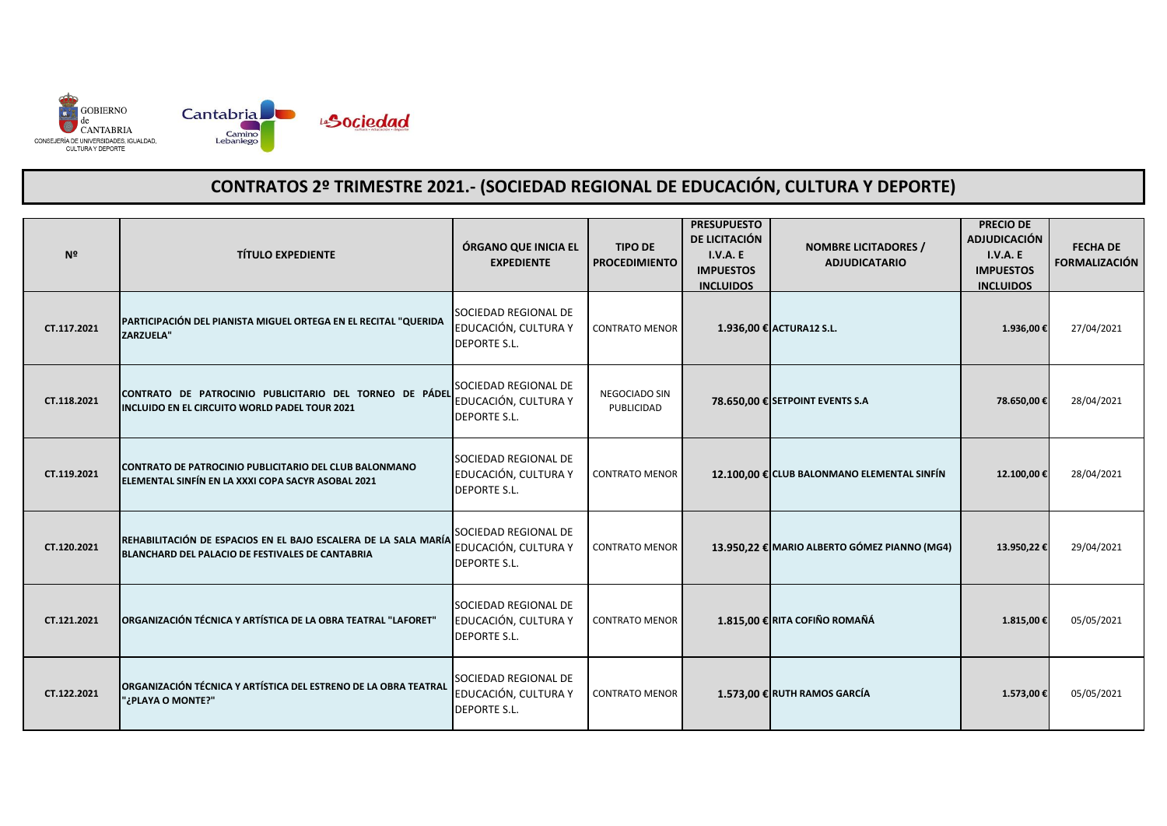

| Nº          | <b>TÍTULO EXPEDIENTE</b>                                                                                            | ÓRGANO QUE INICIA EL<br><b>EXPEDIENTE</b>                           | <b>TIPO DE</b><br><b>PROCEDIMIENTO</b> | <b>PRESUPUESTO</b><br>DE LICITACIÓN<br>I.V.A.E<br><b>IMPUESTOS</b><br><b>INCLUIDOS</b> | <b>NOMBRE LICITADORES /</b><br><b>ADJUDICATARIO</b> | <b>PRECIO DE</b><br><b>ADJUDICACIÓN</b><br>I.V.A.E<br><b>IMPUESTOS</b><br><b>INCLUIDOS</b> | <b>FECHA DE</b><br><b>FORMALIZACIÓN</b> |
|-------------|---------------------------------------------------------------------------------------------------------------------|---------------------------------------------------------------------|----------------------------------------|----------------------------------------------------------------------------------------|-----------------------------------------------------|--------------------------------------------------------------------------------------------|-----------------------------------------|
| CT.117.2021 | PARTICIPACIÓN DEL PIANISTA MIGUEL ORTEGA EN EL RECITAL "QUERIDA<br><b>ZARZUELA"</b>                                 | SOCIEDAD REGIONAL DE<br>EDUCACIÓN, CULTURA Y<br><b>DEPORTE S.L.</b> | <b>CONTRATO MENOR</b>                  |                                                                                        | 1.936,00 € ACTURA12 S.L.                            | 1.936,00 €                                                                                 | 27/04/2021                              |
| CT.118.2021 | CONTRATO DE PATROCINIO PUBLICITARIO DEL TORNEO DE PÁDEL<br>INCLUIDO EN EL CIRCUITO WORLD PADEL TOUR 2021            | SOCIEDAD REGIONAL DE<br>EDUCACIÓN, CULTURA Y<br><b>DEPORTE S.L.</b> | NEGOCIADO SIN<br>PUBLICIDAD            |                                                                                        | 78.650,00 € SETPOINT EVENTS S.A                     | 78.650,00€                                                                                 | 28/04/2021                              |
| CT.119.2021 | CONTRATO DE PATROCINIO PUBLICITARIO DEL CLUB BALONMANO<br>ELEMENTAL SINFÍN EN LA XXXI COPA SACYR ASOBAL 2021        | SOCIEDAD REGIONAL DE<br>EDUCACIÓN, CULTURA Y<br><b>DEPORTE S.L.</b> | <b>CONTRATO MENOR</b>                  |                                                                                        | 12.100,00 € CLUB BALONMANO ELEMENTAL SINFÍN         | 12.100,00€                                                                                 | 28/04/2021                              |
| CT.120.2021 | REHABILITACIÓN DE ESPACIOS EN EL BAJO ESCALERA DE LA SALA MARÍA<br>BLANCHARD DEL PALACIO DE FESTIVALES DE CANTABRIA | SOCIEDAD REGIONAL DE<br>EDUCACIÓN, CULTURA Y<br><b>DEPORTE S.L.</b> | <b>CONTRATO MENOR</b>                  |                                                                                        | 13.950,22 € MARIO ALBERTO GÓMEZ PIANNO (MG4)        | 13.950,22€                                                                                 | 29/04/2021                              |
| CT.121.2021 | ORGANIZACIÓN TÉCNICA Y ARTÍSTICA DE LA OBRA TEATRAL "LAFORET"                                                       | SOCIEDAD REGIONAL DE<br>EDUCACIÓN, CULTURA Y<br><b>DEPORTE S.L.</b> | <b>CONTRATO MENOR</b>                  |                                                                                        | 1.815,00 € RITA COFIÑO ROMAÑÁ                       | 1.815,00€                                                                                  | 05/05/2021                              |
| CT.122.2021 | ORGANIZACIÓN TÉCNICA Y ARTÍSTICA DEL ESTRENO DE LA OBRA TEATRAL<br>"¿PLAYA O MONTE?"                                | SOCIEDAD REGIONAL DE<br>EDUCACIÓN, CULTURA Y<br><b>DEPORTE S.L.</b> | <b>CONTRATO MENOR</b>                  |                                                                                        | 1.573,00 € RUTH RAMOS GARCÍA                        | 1.573,00€                                                                                  | 05/05/2021                              |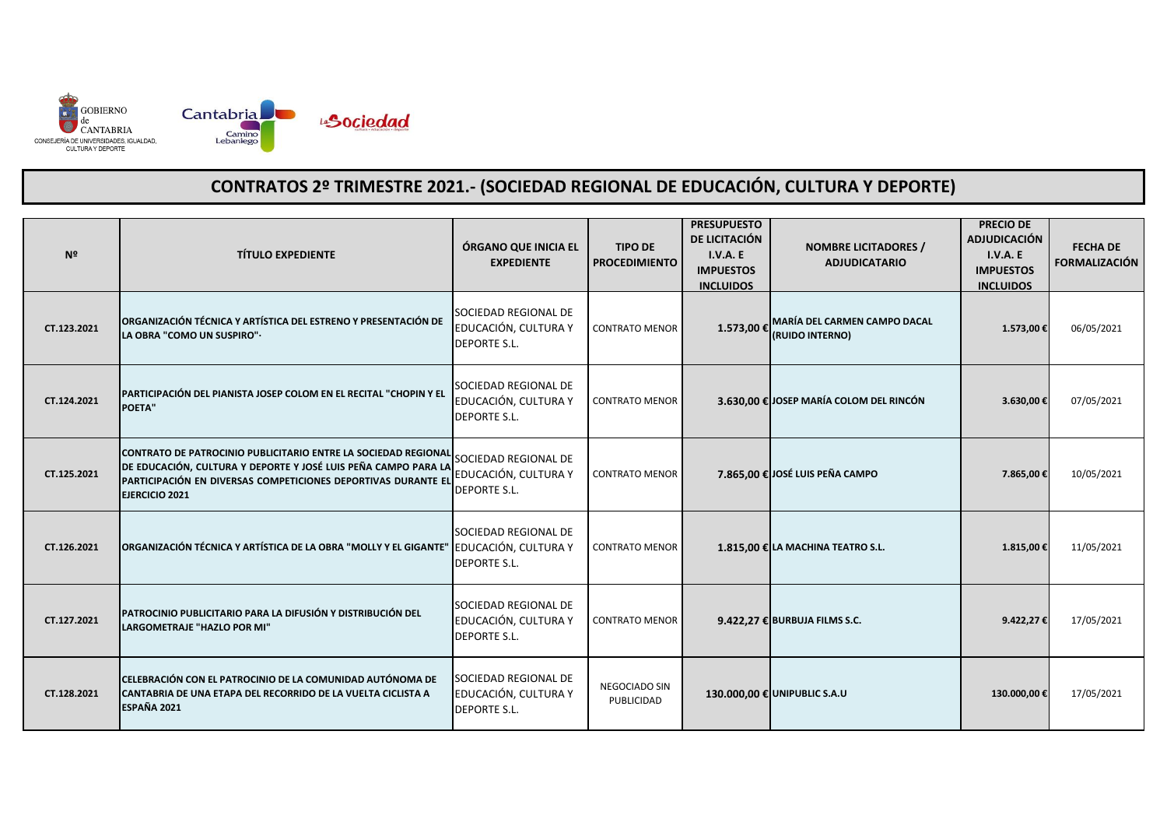

| Nº          | <b>TÍTULO EXPEDIENTE</b>                                                                                                                                                                                                                 | ÓRGANO QUE INICIA EL<br><b>EXPEDIENTE</b>                           | <b>TIPO DE</b><br><b>PROCEDIMIENTO</b> | <b>PRESUPUESTO</b><br>DE LICITACIÓN<br>I.V.A.E<br><b>IMPUESTOS</b><br><b>INCLUIDOS</b> | <b>NOMBRE LICITADORES /</b><br><b>ADJUDICATARIO</b>    | <b>PRECIO DE</b><br><b>ADJUDICACIÓN</b><br>I.V.A.E<br><b>IMPUESTOS</b><br><b>INCLUIDOS</b> | <b>FECHA DE</b><br><b>FORMALIZACIÓN</b> |
|-------------|------------------------------------------------------------------------------------------------------------------------------------------------------------------------------------------------------------------------------------------|---------------------------------------------------------------------|----------------------------------------|----------------------------------------------------------------------------------------|--------------------------------------------------------|--------------------------------------------------------------------------------------------|-----------------------------------------|
| CT.123.2021 | ORGANIZACIÓN TÉCNICA Y ARTÍSTICA DEL ESTRENO Y PRESENTACIÓN DE<br>LA OBRA "COMO UN SUSPIRO".                                                                                                                                             | SOCIEDAD REGIONAL DE<br>EDUCACIÓN, CULTURA Y<br><b>DEPORTE S.L.</b> | <b>CONTRATO MENOR</b>                  | 1.573,00 €                                                                             | <b>MARÍA DEL CARMEN CAMPO DACAL</b><br>(RUIDO INTERNO) | 1.573,00 €                                                                                 | 06/05/2021                              |
| CT.124.2021 | PARTICIPACIÓN DEL PIANISTA JOSEP COLOM EN EL RECITAL "CHOPIN Y EL<br><b>POETA"</b>                                                                                                                                                       | SOCIEDAD REGIONAL DE<br>EDUCACIÓN, CULTURA Y<br><b>DEPORTE S.L.</b> | <b>CONTRATO MENOR</b>                  |                                                                                        | 3.630,00 € JOSEP MARÍA COLOM DEL RINCÓN                | 3.630,00€                                                                                  | 07/05/2021                              |
| CT.125.2021 | CONTRATO DE PATROCINIO PUBLICITARIO ENTRE LA SOCIEDAD REGIONAL SOCIEDAD REGIONAL DE<br>DE EDUCACIÓN, CULTURA Y DEPORTE Y JOSÉ LUIS PEÑA CAMPO PARA LA<br>PARTICIPACIÓN EN DIVERSAS COMPETICIONES DEPORTIVAS DURANTE EL<br>EJERCICIO 2021 | EDUCACIÓN, CULTURA Y<br><b>DEPORTE S.L.</b>                         | <b>CONTRATO MENOR</b>                  |                                                                                        | 7.865,00 € JOSÉ LUIS PEÑA CAMPO                        | 7.865,00 €                                                                                 | 10/05/2021                              |
| CT.126.2021 | ORGANIZACIÓN TÉCNICA Y ARTÍSTICA DE LA OBRA "MOLLY Y EL GIGANTE" EDUCACIÓN, CULTURA Y                                                                                                                                                    | SOCIEDAD REGIONAL DE<br><b>DEPORTE S.L.</b>                         | <b>CONTRATO MENOR</b>                  |                                                                                        | 1.815,00 € LA MACHINA TEATRO S.L.                      | 1.815,00 €                                                                                 | 11/05/2021                              |
| CT.127.2021 | PATROCINIO PUBLICITARIO PARA LA DIFUSIÓN Y DISTRIBUCIÓN DEL<br>LARGOMETRAJE "HAZLO POR MI"                                                                                                                                               | SOCIEDAD REGIONAL DE<br>EDUCACIÓN, CULTURA Y<br><b>DEPORTE S.L.</b> | <b>CONTRATO MENOR</b>                  |                                                                                        | 9.422,27 € BURBUJA FILMS S.C.                          | 9.422,27€                                                                                  | 17/05/2021                              |
| CT.128.2021 | CELEBRACIÓN CON EL PATROCINIO DE LA COMUNIDAD AUTÓNOMA DE<br>CANTABRIA DE UNA ETAPA DEL RECORRIDO DE LA VUELTA CICLISTA A<br>ESPAÑA 2021                                                                                                 | SOCIEDAD REGIONAL DE<br>EDUCACIÓN, CULTURA Y<br><b>DEPORTE S.L.</b> | NEGOCIADO SIN<br>PUBLICIDAD            |                                                                                        | 130.000,00 € UNIPUBLIC S.A.U                           | 130.000,00 €                                                                               | 17/05/2021                              |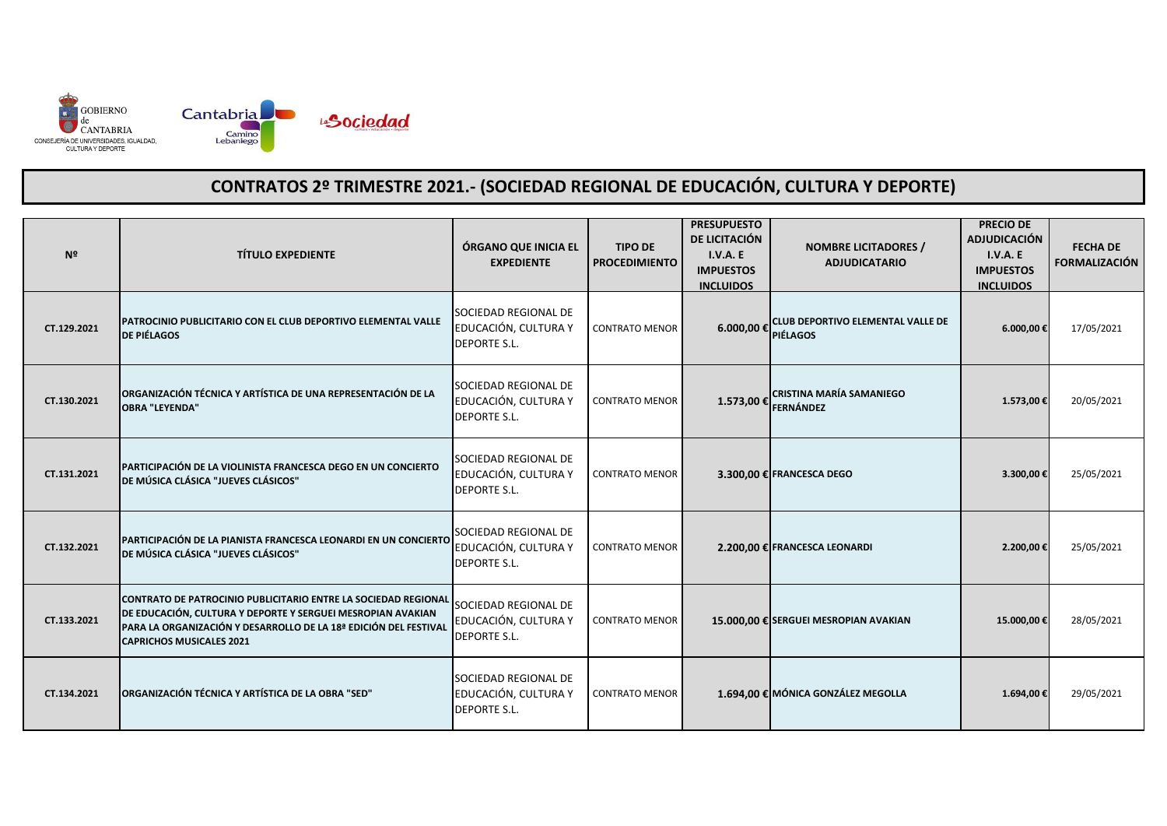

| Nº          | <b>TÍTULO EXPEDIENTE</b>                                                                                                                                                                                                             | ÓRGANO QUE INICIA EL<br><b>EXPEDIENTE</b>                           | <b>TIPO DE</b><br><b>PROCEDIMIENTO</b> | <b>PRESUPUESTO</b><br>DE LICITACIÓN<br>I.V.A. E<br><b>IMPUESTOS</b><br><b>INCLUIDOS</b> | <b>NOMBRE LICITADORES /</b><br><b>ADJUDICATARIO</b> | <b>PRECIO DE</b><br><b>ADJUDICACIÓN</b><br><b>I.V.A. E</b><br><b>IMPUESTOS</b><br><b>INCLUIDOS</b> | <b>FECHA DE</b><br><b>FORMALIZACIÓN</b> |
|-------------|--------------------------------------------------------------------------------------------------------------------------------------------------------------------------------------------------------------------------------------|---------------------------------------------------------------------|----------------------------------------|-----------------------------------------------------------------------------------------|-----------------------------------------------------|----------------------------------------------------------------------------------------------------|-----------------------------------------|
| CT.129.2021 | PATROCINIO PUBLICITARIO CON EL CLUB DEPORTIVO ELEMENTAL VALLE<br><b>DE PIÉLAGOS</b>                                                                                                                                                  | SOCIEDAD REGIONAL DE<br>EDUCACIÓN, CULTURA Y<br><b>DEPORTE S.L.</b> | <b>CONTRATO MENOR</b>                  | 6.000,00 € PIÉLAGOS                                                                     | <b>CLUB DEPORTIVO ELEMENTAL VALLE DE</b>            | 6.000,00€                                                                                          | 17/05/2021                              |
| CT.130.2021 | ORGANIZACIÓN TÉCNICA Y ARTÍSTICA DE UNA REPRESENTACIÓN DE LA<br><b>OBRA "LEYENDA"</b>                                                                                                                                                | SOCIEDAD REGIONAL DE<br>EDUCACIÓN, CULTURA Y<br><b>DEPORTE S.L.</b> | <b>CONTRATO MENOR</b>                  | 1.573,00€                                                                               | <b>CRISTINA MARÍA SAMANIEGO</b><br>FERNÁNDEZ        | 1.573,00€                                                                                          | 20/05/2021                              |
| CT.131.2021 | PARTICIPACIÓN DE LA VIOLINISTA FRANCESCA DEGO EN UN CONCIERTO<br>DE MÚSICA CLÁSICA "JUEVES CLÁSICOS"                                                                                                                                 | SOCIEDAD REGIONAL DE<br>EDUCACIÓN, CULTURA Y<br><b>DEPORTE S.L.</b> | <b>CONTRATO MENOR</b>                  |                                                                                         | 3.300,00 € FRANCESCA DEGO                           | 3.300,00€                                                                                          | 25/05/2021                              |
| CT.132.2021 | PARTICIPACIÓN DE LA PIANISTA FRANCESCA LEONARDI EN UN CONCIERTO<br>DE MÚSICA CLÁSICA "JUEVES CLÁSICOS"                                                                                                                               | SOCIEDAD REGIONAL DE<br>EDUCACIÓN, CULTURA Y<br><b>DEPORTE S.L.</b> | <b>CONTRATO MENOR</b>                  |                                                                                         | 2.200,00 € FRANCESCA LEONARDI                       | 2.200,00€                                                                                          | 25/05/2021                              |
| CT.133.2021 | CONTRATO DE PATROCINIO PUBLICITARIO ENTRE LA SOCIEDAD REGIONAL<br>DE EDUCACIÓN, CULTURA Y DEPORTE Y SERGUEI MESROPIAN AVAKIAN<br>PARA LA ORGANIZACIÓN Y DESARROLLO DE LA 18ª EDICIÓN DEL FESTIVAL<br><b>CAPRICHOS MUSICALES 2021</b> | SOCIEDAD REGIONAL DE<br>EDUCACIÓN, CULTURA Y<br><b>DEPORTE S.L.</b> | <b>CONTRATO MENOR</b>                  |                                                                                         | 15.000,00 € SERGUEI MESROPIAN AVAKIAN               | 15.000,00€                                                                                         | 28/05/2021                              |
| CT.134.2021 | ORGANIZACIÓN TÉCNICA Y ARTÍSTICA DE LA OBRA "SED"                                                                                                                                                                                    | SOCIEDAD REGIONAL DE<br>EDUCACIÓN, CULTURA Y<br><b>DEPORTE S.L.</b> | <b>CONTRATO MENOR</b>                  |                                                                                         | 1.694.00 € MÓNICA GONZÁLEZ MEGOLLA                  | 1.694,00€                                                                                          | 29/05/2021                              |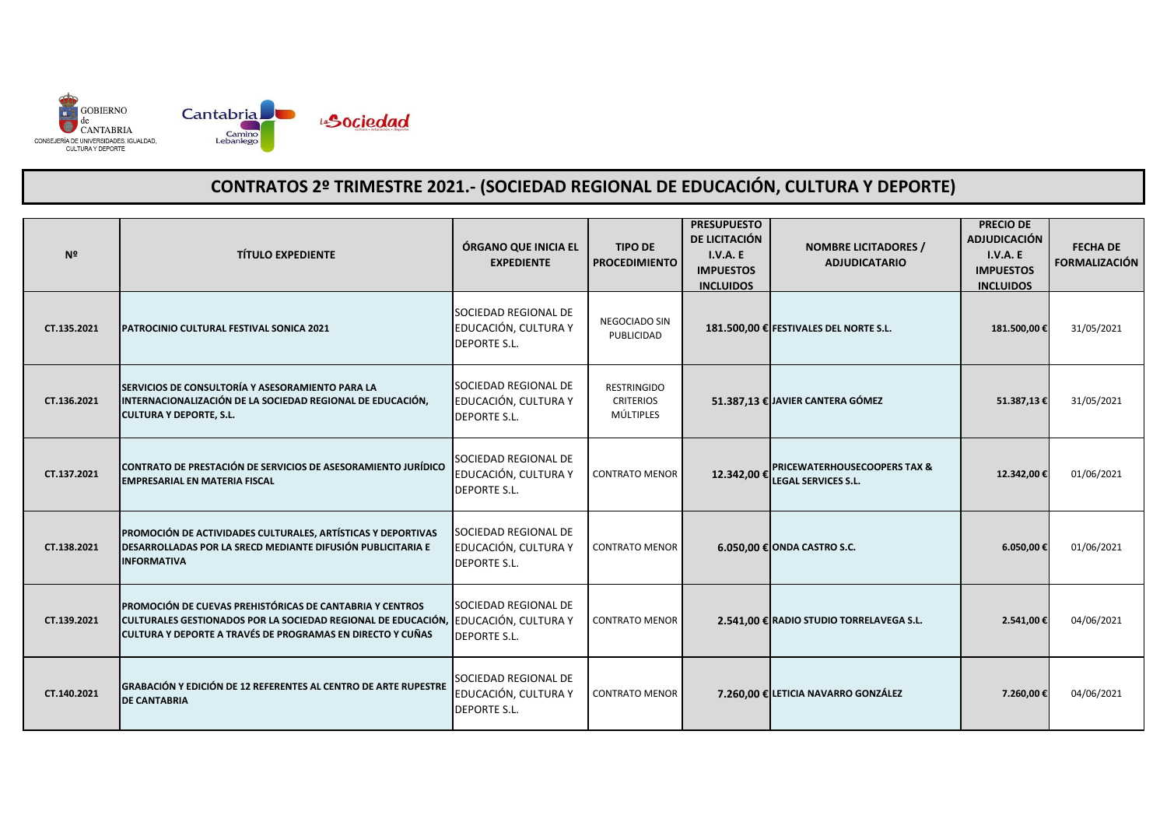

| Nº          | <b>TÍTULO EXPEDIENTE</b>                                                                                                                                                                                             | ÓRGANO QUE INICIA EL<br><b>EXPEDIENTE</b>                           | <b>TIPO DE</b><br><b>PROCEDIMIENTO</b>              | <b>PRESUPUESTO</b><br>DE LICITACIÓN<br>I.V.A.E<br><b>IMPUESTOS</b><br><b>INCLUIDOS</b> | <b>NOMBRE LICITADORES /</b><br><b>ADJUDICATARIO</b>             | <b>PRECIO DE</b><br><b>ADJUDICACIÓN</b><br><b>I.V.A. E</b><br><b>IMPUESTOS</b><br><b>INCLUIDOS</b> | <b>FECHA DE</b><br><b>FORMALIZACIÓN</b> |
|-------------|----------------------------------------------------------------------------------------------------------------------------------------------------------------------------------------------------------------------|---------------------------------------------------------------------|-----------------------------------------------------|----------------------------------------------------------------------------------------|-----------------------------------------------------------------|----------------------------------------------------------------------------------------------------|-----------------------------------------|
| CT.135.2021 | PATROCINIO CULTURAL FESTIVAL SONICA 2021                                                                                                                                                                             | SOCIEDAD REGIONAL DE<br>EDUCACIÓN, CULTURA Y<br><b>DEPORTE S.L.</b> | NEGOCIADO SIN<br>PUBLICIDAD                         |                                                                                        | 181.500,00 € FESTIVALES DEL NORTE S.L.                          | 181.500,00€                                                                                        | 31/05/2021                              |
| CT.136.2021 | SERVICIOS DE CONSULTORÍA Y ASESORAMIENTO PARA LA<br>INTERNACIONALIZACIÓN DE LA SOCIEDAD REGIONAL DE EDUCACIÓN,<br><b>CULTURA Y DEPORTE, S.L.</b>                                                                     | SOCIEDAD REGIONAL DE<br>EDUCACIÓN, CULTURA Y<br><b>DEPORTE S.L.</b> | <b>RESTRINGIDO</b><br><b>CRITERIOS</b><br>MÚLTIPLES |                                                                                        | 51.387,13 € JAVIER CANTERA GÓMEZ                                | 51.387,13€                                                                                         | 31/05/2021                              |
| CT.137.2021 | CONTRATO DE PRESTACIÓN DE SERVICIOS DE ASESORAMIENTO JURÍDICO<br><b>EMPRESARIAL EN MATERIA FISCAL</b>                                                                                                                | SOCIEDAD REGIONAL DE<br>EDUCACIÓN, CULTURA Y<br><b>DEPORTE S.L.</b> | <b>CONTRATO MENOR</b>                               |                                                                                        | 12.342,00 € PRICEWATERHOUSECOOPERS TAX &<br>LEGAL SERVICES S.L. | 12.342,00€                                                                                         | 01/06/2021                              |
| CT.138.2021 | PROMOCIÓN DE ACTIVIDADES CULTURALES, ARTÍSTICAS Y DEPORTIVAS<br>DESARROLLADAS POR LA SRECD MEDIANTE DIFUSIÓN PUBLICITARIA E<br><b>INFORMATIVA</b>                                                                    | SOCIEDAD REGIONAL DE<br>EDUCACIÓN, CULTURA Y<br><b>DEPORTE S.L.</b> | <b>CONTRATO MENOR</b>                               |                                                                                        | 6.050,00 € ONDA CASTRO S.C.                                     | 6.050,00€                                                                                          | 01/06/2021                              |
| CT.139.2021 | PROMOCIÓN DE CUEVAS PREHISTÓRICAS DE CANTABRIA Y CENTROS<br>CULTURALES GESTIONADOS POR LA SOCIEDAD REGIONAL DE EDUCACIÓN, EDUCACIÓN, CULTURA Y<br><b>ICULTURA Y DEPORTE A TRAVÉS DE PROGRAMAS EN DIRECTO Y CUÑAS</b> | SOCIEDAD REGIONAL DE<br><b>DEPORTE S.L.</b>                         | <b>CONTRATO MENOR</b>                               |                                                                                        | 2.541,00 € RADIO STUDIO TORRELAVEGA S.L.                        | 2.541,00€                                                                                          | 04/06/2021                              |
| CT.140.2021 | GRABACIÓN Y EDICIÓN DE 12 REFERENTES AL CENTRO DE ARTE RUPESTRE<br><b>DE CANTABRIA</b>                                                                                                                               | SOCIEDAD REGIONAL DE<br>EDUCACIÓN, CULTURA Y<br><b>DEPORTE S.L.</b> | <b>CONTRATO MENOR</b>                               |                                                                                        | 7.260,00 € LETICIA NAVARRO GONZÁLEZ                             | 7.260,00€                                                                                          | 04/06/2021                              |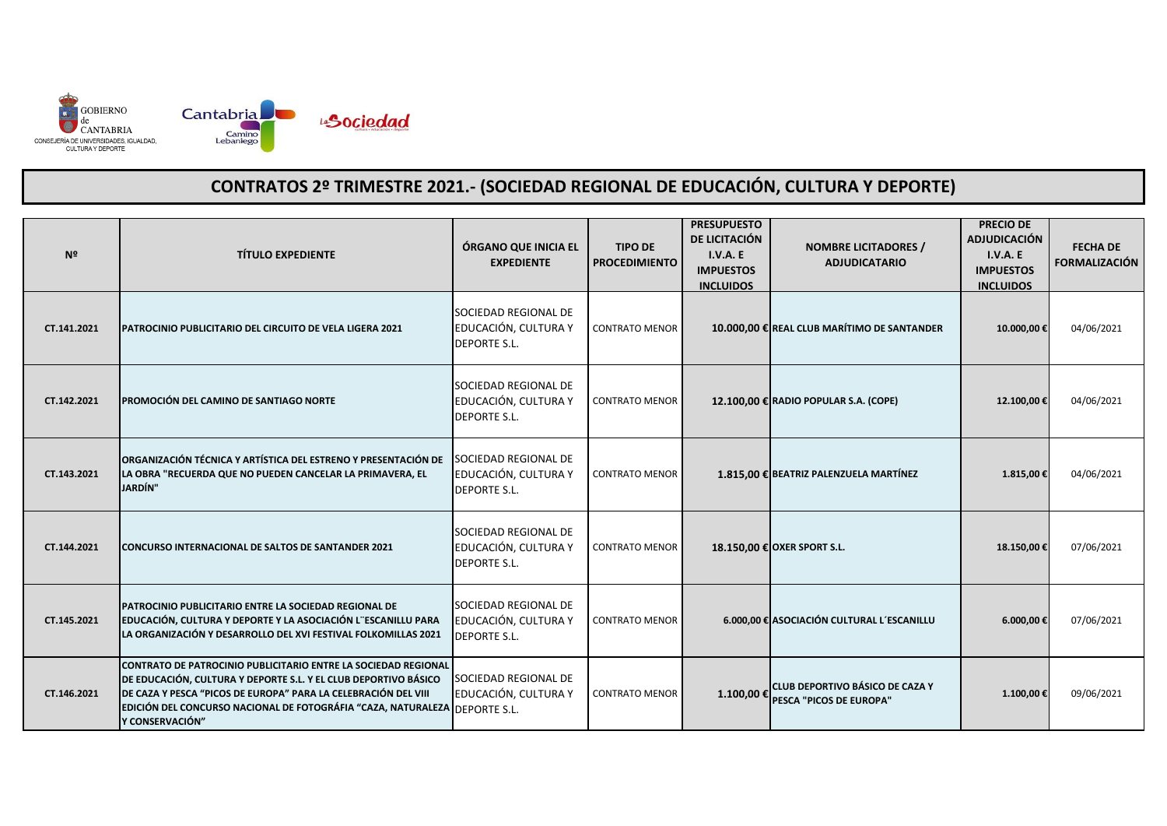

| Nº          | <b>TÍTULO EXPEDIENTE</b>                                                                                                                                                                                                                                                                                     | ÓRGANO QUE INICIA EL<br><b>EXPEDIENTE</b>                           | <b>TIPO DE</b><br><b>PROCEDIMIENTO</b> | <b>PRESUPUESTO</b><br>DE LICITACIÓN<br>I.V.A.E<br><b>IMPUESTOS</b><br><b>INCLUIDOS</b> | <b>NOMBRE LICITADORES /</b><br><b>ADJUDICATARIO</b>        | <b>PRECIO DE</b><br><b>ADJUDICACIÓN</b><br><b>I.V.A. E</b><br><b>IMPUESTOS</b><br><b>INCLUIDOS</b> | <b>FECHA DE</b><br><b>FORMALIZACIÓN</b> |
|-------------|--------------------------------------------------------------------------------------------------------------------------------------------------------------------------------------------------------------------------------------------------------------------------------------------------------------|---------------------------------------------------------------------|----------------------------------------|----------------------------------------------------------------------------------------|------------------------------------------------------------|----------------------------------------------------------------------------------------------------|-----------------------------------------|
| CT.141.2021 | PATROCINIO PUBLICITARIO DEL CIRCUITO DE VELA LIGERA 2021                                                                                                                                                                                                                                                     | SOCIEDAD REGIONAL DE<br>EDUCACIÓN, CULTURA Y<br><b>DEPORTE S.L.</b> | <b>CONTRATO MENOR</b>                  |                                                                                        | 10.000,00 € REAL CLUB MARÍTIMO DE SANTANDER                | 10.000,00€                                                                                         | 04/06/2021                              |
| CT.142.2021 | PROMOCIÓN DEL CAMINO DE SANTIAGO NORTE                                                                                                                                                                                                                                                                       | SOCIEDAD REGIONAL DE<br>EDUCACIÓN, CULTURA Y<br><b>DEPORTE S.L.</b> | <b>CONTRATO MENOR</b>                  |                                                                                        | 12.100,00 € RADIO POPULAR S.A. (COPE)                      | 12.100,00€                                                                                         | 04/06/2021                              |
| CT.143.2021 | ORGANIZACIÓN TÉCNICA Y ARTÍSTICA DEL ESTRENO Y PRESENTACIÓN DE<br>LA OBRA "RECUERDA QUE NO PUEDEN CANCELAR LA PRIMAVERA, EL<br><b>JARDÍN</b> "                                                                                                                                                               | SOCIEDAD REGIONAL DE<br>EDUCACIÓN, CULTURA Y<br><b>DEPORTE S.L.</b> | <b>CONTRATO MENOR</b>                  |                                                                                        | 1.815,00 € BEATRIZ PALENZUELA MARTÍNEZ                     | 1.815,00€                                                                                          | 04/06/2021                              |
| CT.144.2021 | CONCURSO INTERNACIONAL DE SALTOS DE SANTANDER 2021                                                                                                                                                                                                                                                           | SOCIEDAD REGIONAL DE<br>EDUCACIÓN, CULTURA Y<br><b>DEPORTE S.L.</b> | <b>CONTRATO MENOR</b>                  |                                                                                        | 18.150,00 € OXER SPORT S.L.                                | 18.150,00€                                                                                         | 07/06/2021                              |
| CT.145.2021 | PATROCINIO PUBLICITARIO ENTRE LA SOCIEDAD REGIONAL DE<br>EDUCACIÓN, CULTURA Y DEPORTE Y LA ASOCIACIÓN L'ESCANILLU PARA<br>LA ORGANIZACIÓN Y DESARROLLO DEL XVI FESTIVAL FOLKOMILLAS 2021                                                                                                                     | SOCIEDAD REGIONAL DE<br>EDUCACIÓN, CULTURA Y<br><b>DEPORTE S.L.</b> | <b>CONTRATO MENOR</b>                  |                                                                                        | 6.000,00 € ASOCIACIÓN CULTURAL L'ESCANILLU                 | 6.000,00€                                                                                          | 07/06/2021                              |
| CT.146.2021 | <b>CONTRATO DE PATROCINIO PUBLICITARIO ENTRE LA SOCIEDAD REGIONAL</b><br>DE EDUCACIÓN, CULTURA Y DEPORTE S.L. Y EL CLUB DEPORTIVO BÁSICO<br>DE CAZA Y PESCA "PICOS DE EUROPA" PARA LA CELEBRACIÓN DEL VIII<br>EDICIÓN DEL CONCURSO NACIONAL DE FOTOGRÁFIA "CAZA, NATURALEZA DEPORTE S.L.<br>ly CONSERVACIÓN" | SOCIEDAD REGIONAL DE<br>EDUCACIÓN, CULTURA Y                        | <b>CONTRATO MENOR</b>                  | 1.100,00 €                                                                             | CLUB DEPORTIVO BÁSICO DE CAZA Y<br>PESCA "PICOS DE EUROPA" | 1.100,00€                                                                                          | 09/06/2021                              |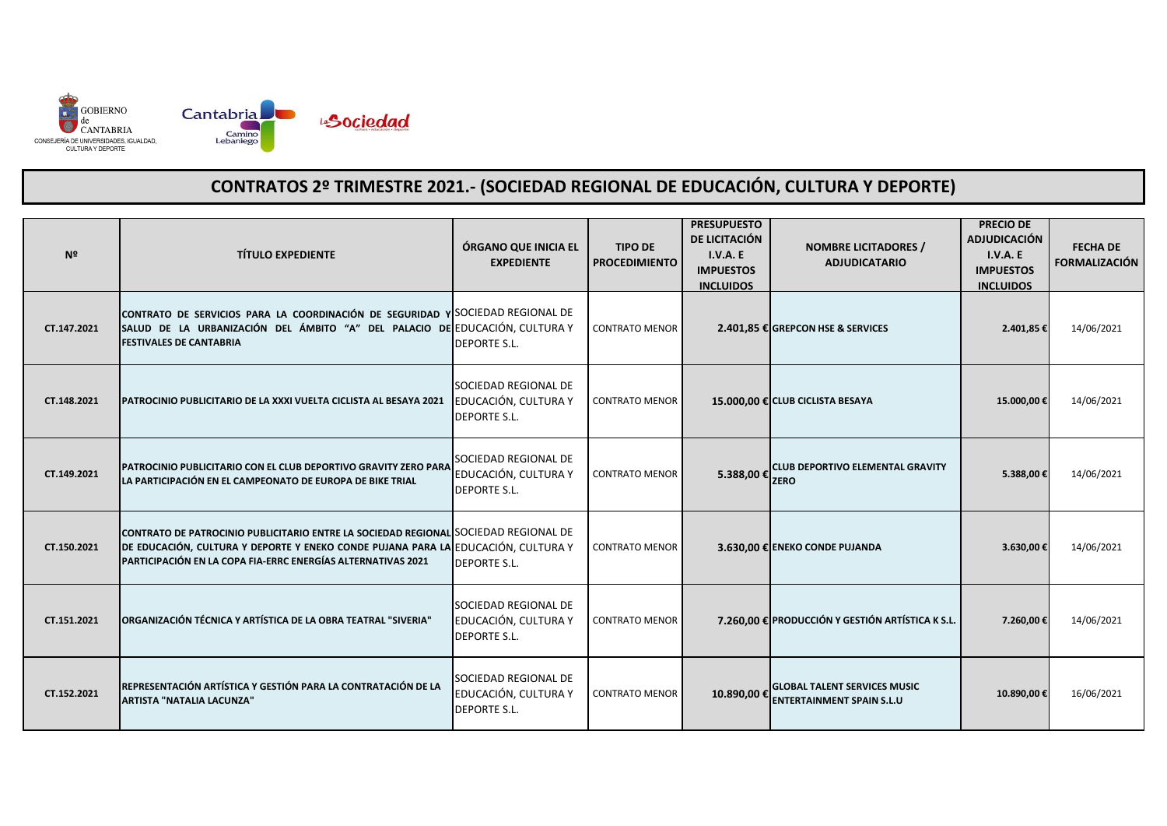

| Nº          | <b>TÍTULO EXPEDIENTE</b>                                                                                                                                                                                                                 | ÓRGANO QUE INICIA EL<br><b>EXPEDIENTE</b>                           | <b>TIPO DE</b><br><b>PROCEDIMIENTO</b> | <b>PRESUPUESTO</b><br>DE LICITACIÓN<br>I.V.A.E<br><b>IMPUESTOS</b><br><b>INCLUIDOS</b> | <b>NOMBRE LICITADORES /</b><br><b>ADJUDICATARIO</b>                     | <b>PRECIO DE</b><br><b>ADJUDICACIÓN</b><br><b>I.V.A. E</b><br><b>IMPUESTOS</b><br><b>INCLUIDOS</b> | <b>FECHA DE</b><br><b>FORMALIZACIÓN</b> |
|-------------|------------------------------------------------------------------------------------------------------------------------------------------------------------------------------------------------------------------------------------------|---------------------------------------------------------------------|----------------------------------------|----------------------------------------------------------------------------------------|-------------------------------------------------------------------------|----------------------------------------------------------------------------------------------------|-----------------------------------------|
| CT.147.2021 | CONTRATO DE SERVICIOS PARA LA COORDINACIÓN DE SEGURIDAD Y SOCIEDAD REGIONAL DE<br>SALUD DE LA URBANIZACIÓN DEL ÁMBITO "A" DEL PALACIO DE EDUCACIÓN, CULTURA Y<br><b>FESTIVALES DE CANTABRIA</b>                                          | <b>DEPORTE S.L.</b>                                                 | <b>CONTRATO MENOR</b>                  |                                                                                        | 2.401,85 € GREPCON HSE & SERVICES                                       | 2.401,85€                                                                                          | 14/06/2021                              |
| CT.148.2021 | PATROCINIO PUBLICITARIO DE LA XXXI VUELTA CICLISTA AL BESAYA 2021                                                                                                                                                                        | SOCIEDAD REGIONAL DE<br>EDUCACIÓN, CULTURA Y<br><b>DEPORTE S.L.</b> | <b>CONTRATO MENOR</b>                  |                                                                                        | 15.000,00 € CLUB CICLISTA BESAYA                                        | 15.000,00€                                                                                         | 14/06/2021                              |
| CT.149.2021 | PATROCINIO PUBLICITARIO CON EL CLUB DEPORTIVO GRAVITY ZERO PARA<br>LA PARTICIPACIÓN EN EL CAMPEONATO DE EUROPA DE BIKE TRIAL                                                                                                             | SOCIEDAD REGIONAL DE<br>EDUCACIÓN, CULTURA Y<br><b>DEPORTE S.L.</b> | <b>CONTRATO MENOR</b>                  |                                                                                        | 5.388,00 € CLUB DEPORTIVO ELEMENTAL GRAVITY                             | 5.388,00€                                                                                          | 14/06/2021                              |
| CT.150.2021 | CONTRATO DE PATROCINIO PUBLICITARIO ENTRE LA SOCIEDAD REGIONAL SOCIEDAD REGIONAL DE<br>DE EDUCACIÓN, CULTURA Y DEPORTE Y ENEKO CONDE PUJANA PARA LA EDUCACIÓN, CULTURA Y<br>PARTICIPACIÓN EN LA COPA FIA-ERRC ENERGÍAS ALTERNATIVAS 2021 | <b>DEPORTE S.L.</b>                                                 | <b>CONTRATO MENOR</b>                  |                                                                                        | 3.630,00 € ENEKO CONDE PUJANDA                                          | 3.630,00€                                                                                          | 14/06/2021                              |
| CT.151.2021 | ORGANIZACIÓN TÉCNICA Y ARTÍSTICA DE LA OBRA TEATRAL "SIVERIA"                                                                                                                                                                            | SOCIEDAD REGIONAL DE<br>EDUCACIÓN, CULTURA Y<br><b>DEPORTE S.L.</b> | <b>CONTRATO MENOR</b>                  |                                                                                        | 7.260,00 € PRODUCCIÓN Y GESTIÓN ARTÍSTICA K S.L.                        | 7.260,00€                                                                                          | 14/06/2021                              |
| CT.152.2021 | REPRESENTACIÓN ARTÍSTICA Y GESTIÓN PARA LA CONTRATACIÓN DE LA<br>ARTISTA "NATALIA LACUNZA"                                                                                                                                               | SOCIEDAD REGIONAL DE<br>EDUCACIÓN, CULTURA Y<br><b>DEPORTE S.L.</b> | <b>CONTRATO MENOR</b>                  | 10.890.00€                                                                             | <b>GLOBAL TALENT SERVICES MUSIC</b><br><b>ENTERTAINMENT SPAIN S.L.U</b> | 10.890,00€                                                                                         | 16/06/2021                              |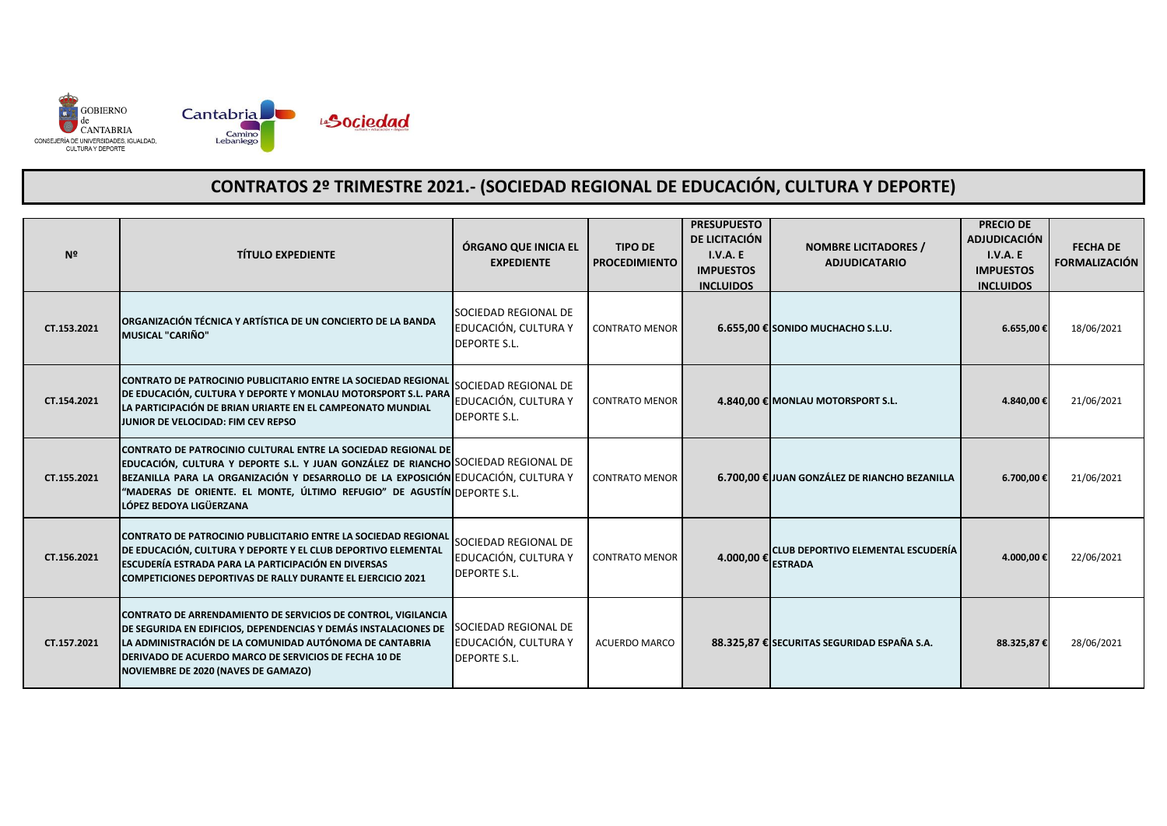

| N <sub>2</sub> | <b>TÍTULO EXPEDIENTE</b>                                                                                                                                                                                                                                                                                                                     | ÓRGANO QUE INICIA EL<br><b>EXPEDIENTE</b>                                  | <b>TIPO DE</b><br><b>PROCEDIMIENTO</b> | <b>PRESUPUESTO</b><br>DE LICITACIÓN<br>I.V.A.E<br><b>IMPUESTOS</b><br><b>INCLUIDOS</b> | <b>NOMBRE LICITADORES /</b><br><b>ADJUDICATARIO</b>  | <b>PRECIO DE</b><br><b>ADJUDICACIÓN</b><br>I.V.A. E<br><b>IMPUESTOS</b><br><b>INCLUIDOS</b> | <b>FECHA DE</b><br><b>FORMALIZACIÓN</b> |
|----------------|----------------------------------------------------------------------------------------------------------------------------------------------------------------------------------------------------------------------------------------------------------------------------------------------------------------------------------------------|----------------------------------------------------------------------------|----------------------------------------|----------------------------------------------------------------------------------------|------------------------------------------------------|---------------------------------------------------------------------------------------------|-----------------------------------------|
| CT.153.2021    | ORGANIZACIÓN TÉCNICA Y ARTÍSTICA DE UN CONCIERTO DE LA BANDA<br><b>MUSICAL "CARIÑO"</b>                                                                                                                                                                                                                                                      | SOCIEDAD REGIONAL DE<br>EDUCACIÓN, CULTURA Y<br><b>DEPORTE S.L.</b>        | <b>CONTRATO MENOR</b>                  |                                                                                        | $6.655,00$ € SONIDO MUCHACHO S.L.U.                  | $6.655,00$ €                                                                                | 18/06/2021                              |
| CT.154.2021    | CONTRATO DE PATROCINIO PUBLICITARIO ENTRE LA SOCIEDAD REGIONAL<br>DE EDUCACIÓN, CULTURA Y DEPORTE Y MONLAU MOTORSPORT S.L. PARA<br>LA PARTICIPACIÓN DE BRIAN URIARTE EN EL CAMPEONATO MUNDIAL<br>JUNIOR DE VELOCIDAD: FIM CEV REPSO                                                                                                          | SOCIEDAD REGIONAL DE<br>EDUCACIÓN, CULTURA Y<br><b>DEPORTE S.L.</b>        | <b>CONTRATO MENOR</b>                  |                                                                                        | 4.840,00 € MONLAU MOTORSPORT S.L.                    | 4.840,00€                                                                                   | 21/06/2021                              |
| CT.155.2021    | CONTRATO DE PATROCINIO CULTURAL ENTRE LA SOCIEDAD REGIONAL DE<br>EDUCACIÓN, CULTURA Y DEPORTE S.L. Y JUAN GONZÁLEZ DE RIANCHO SOCIEDAD REGIONAL DE<br>BEZANILLA PARA LA ORGANIZACIÓN Y DESARROLLO DE LA EXPOSICIÓN EDUCACIÓN, CULTURA Y<br>"MADERAS DE ORIENTE. EL MONTE, ÚLTIMO REFUGIO" DE AGUSTÍN DEPORTE S.L.<br>LÓPEZ BEDOYA LIGÜERZANA |                                                                            | <b>CONTRATO MENOR</b>                  |                                                                                        | 6.700,00 € JUAN GONZÁLEZ DE RIANCHO BEZANILLA        | 6.700,00 €                                                                                  | 21/06/2021                              |
| CT.156.2021    | <b>CONTRATO DE PATROCINIO PUBLICITARIO ENTRE LA SOCIEDAD REGIONAL</b><br>DE EDUCACIÓN, CULTURA Y DEPORTE Y EL CLUB DEPORTIVO ELEMENTAL<br>ESCUDERÍA ESTRADA PARA LA PARTICIPACIÓN EN DIVERSAS<br><b>COMPETICIONES DEPORTIVAS DE RALLY DURANTE EL EJERCICIO 2021</b>                                                                          | SOCIEDAD REGIONAL DE<br>EDUCACIÓN, CULTURA Y<br><b>DEPORTE S.L.</b>        | <b>CONTRATO MENOR</b>                  | 4.000,00 €                                                                             | CLUB DEPORTIVO ELEMENTAL ESCUDERÍA<br><b>ESTRADA</b> | 4.000,00€                                                                                   | 22/06/2021                              |
| CT.157.2021    | CONTRATO DE ARRENDAMIENTO DE SERVICIOS DE CONTROL, VIGILANCIA<br>DE SEGURIDA EN EDIFICIOS, DEPENDENCIAS Y DEMÁS INSTALACIONES DE<br>LA ADMINISTRACIÓN DE LA COMUNIDAD AUTÓNOMA DE CANTABRIA<br><b>DERIVADO DE ACUERDO MARCO DE SERVICIOS DE FECHA 10 DE</b><br>NOVIEMBRE DE 2020 (NAVES DE GAMAZO)                                           | <b>SOCIEDAD REGIONAL DE</b><br>EDUCACIÓN, CULTURA Y<br><b>DEPORTE S.L.</b> | <b>ACUERDO MARCO</b>                   |                                                                                        | 88.325,87 € SECURITAS SEGURIDAD ESPAÑA S.A.          | 88.325,87€                                                                                  | 28/06/2021                              |